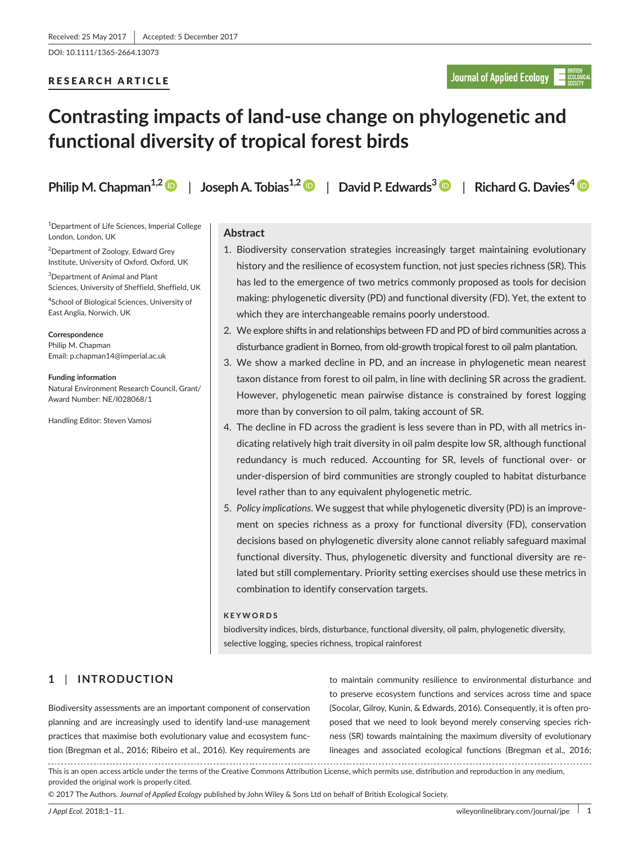DOI: 10.1111/1365-2664.13073

# RESEARCH ARTICLE

# **Contrasting impacts of land-use change on phylogenetic and functional diversity of tropical forest birds**

**Philip M. Chapman1,[2](http://orcid.org/0000-0002-6291-5738)** | **Joseph A. Tobias1,[2](http://orcid.org/0000-0003-2429-6179)** | **David P. Edwards[3](http://orcid.org/0000-0001-8562-3853)** | **Richard G. Davies[4](http://orcid.org/0000-0002-0145-0818)**

1 Department of Life Sciences, Imperial College London, London, UK

<sup>2</sup>Department of Zoology, Edward Grey Institute, University of Oxford, Oxford, UK

3 Department of Animal and Plant Sciences, University of Sheffield, Sheffield, UK

4 School of Biological Sciences, University of East Anglia, Norwich, UK

**Correspondence** Philip M. Chapman Email: [p.chapman14@imperial.ac.uk](mailto:p.chapman14@imperial.ac.uk)

**Funding information** Natural Environment Research Council, Grant/ Award Number: NE/I028068/1

Handling Editor: Steven Vamosi

# **Abstract**

- 1. Biodiversity conservation strategies increasingly target maintaining evolutionary history and the resilience of ecosystem function, not just species richness (SR). This has led to the emergence of two metrics commonly proposed as tools for decision making: phylogenetic diversity (PD) and functional diversity (FD). Yet, the extent to which they are interchangeable remains poorly understood.
- 2. We explore shifts in and relationships between FD and PD of bird communities across a disturbance gradient in Borneo, from old-growth tropical forest to oil palm plantation.
- 3. We show a marked decline in PD, and an increase in phylogenetic mean nearest taxon distance from forest to oil palm, in line with declining SR across the gradient. However, phylogenetic mean pairwise distance is constrained by forest logging more than by conversion to oil palm, taking account of SR.
- 4. The decline in FD across the gradient is less severe than in PD, with all metrics indicating relatively high trait diversity in oil palm despite low SR, although functional redundancy is much reduced. Accounting for SR, levels of functional over- or under-dispersion of bird communities are strongly coupled to habitat disturbance level rather than to any equivalent phylogenetic metric.
- 5. *Policy implications*. We suggest that while phylogenetic diversity (PD) is an improvement on species richness as a proxy for functional diversity (FD), conservation decisions based on phylogenetic diversity alone cannot reliably safeguard maximal functional diversity. Thus, phylogenetic diversity and functional diversity are related but still complementary. Priority setting exercises should use these metrics in combination to identify conservation targets.

## **KEYWORDS**

biodiversity indices, birds, disturbance, functional diversity, oil palm, phylogenetic diversity, selective logging, species richness, tropical rainforest

# **1** | **INTRODUCTION**

Biodiversity assessments are an important component of conservation planning and are increasingly used to identify land-use management practices that maximise both evolutionary value and ecosystem function (Bregman et al., 2016; Ribeiro et al., 2016). Key requirements are

to maintain community resilience to environmental disturbance and to preserve ecosystem functions and services across time and space (Socolar, Gilroy, Kunin, & Edwards, 2016). Consequently, it is often proposed that we need to look beyond merely conserving species richness (SR) towards maintaining the maximum diversity of evolutionary lineages and associated ecological functions (Bregman et al., 2016;

This is an open access article under the terms of the Creative Commons [Attribution](http://creativecommons.org/licenses/by/4.0/) License, which permits use, distribution and reproduction in any medium, provided the original work is properly cited.

© 2017 The Authors. *Journal of Applied Ecology* published by John Wiley & Sons Ltd on behalf of British Ecological Society.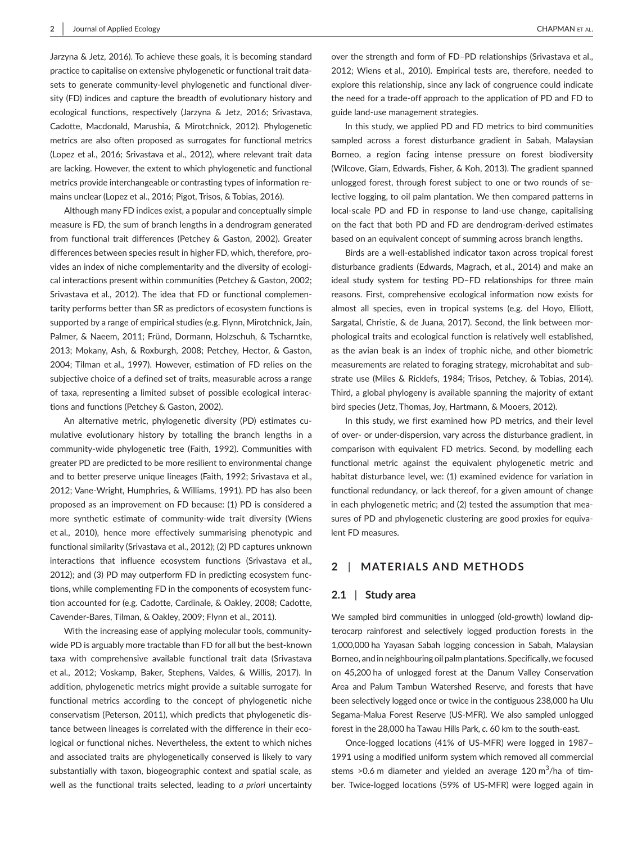Jarzyna & Jetz, 2016). To achieve these goals, it is becoming standard practice to capitalise on extensive phylogenetic or functional trait datasets to generate community-level phylogenetic and functional diversity (FD) indices and capture the breadth of evolutionary history and ecological functions, respectively (Jarzyna & Jetz, 2016; Srivastava, Cadotte, Macdonald, Marushia, & Mirotchnick, 2012). Phylogenetic metrics are also often proposed as surrogates for functional metrics (Lopez et al., 2016; Srivastava et al., 2012), where relevant trait data are lacking. However, the extent to which phylogenetic and functional metrics provide interchangeable or contrasting types of information re-

Although many FD indices exist, a popular and conceptually simple measure is FD, the sum of branch lengths in a dendrogram generated from functional trait differences (Petchey & Gaston, 2002). Greater differences between species result in higher FD, which, therefore, provides an index of niche complementarity and the diversity of ecological interactions present within communities (Petchey & Gaston, 2002; Srivastava et al., 2012). The idea that FD or functional complementarity performs better than SR as predictors of ecosystem functions is supported by a range of empirical studies (e.g. Flynn, Mirotchnick, Jain, Palmer, & Naeem, 2011; Fründ, Dormann, Holzschuh, & Tscharntke, 2013; Mokany, Ash, & Roxburgh, 2008; Petchey, Hector, & Gaston, 2004; Tilman et al., 1997). However, estimation of FD relies on the subjective choice of a defined set of traits, measurable across a range of taxa, representing a limited subset of possible ecological interactions and functions (Petchey & Gaston, 2002).

mains unclear (Lopez et al., 2016; Pigot, Trisos, & Tobias, 2016).

An alternative metric, phylogenetic diversity (PD) estimates cumulative evolutionary history by totalling the branch lengths in a community-wide phylogenetic tree (Faith, 1992). Communities with greater PD are predicted to be more resilient to environmental change and to better preserve unique lineages (Faith, 1992; Srivastava et al., 2012; Vane-Wright, Humphries, & Williams, 1991). PD has also been proposed as an improvement on FD because: (1) PD is considered a more synthetic estimate of community-wide trait diversity (Wiens et al., 2010), hence more effectively summarising phenotypic and functional similarity (Srivastava et al., 2012); (2) PD captures unknown interactions that influence ecosystem functions (Srivastava et al., 2012); and (3) PD may outperform FD in predicting ecosystem functions, while complementing FD in the components of ecosystem function accounted for (e.g. Cadotte, Cardinale, & Oakley, 2008; Cadotte, Cavender-Bares, Tilman, & Oakley, 2009; Flynn et al., 2011).

With the increasing ease of applying molecular tools, communitywide PD is arguably more tractable than FD for all but the best-known taxa with comprehensive available functional trait data (Srivastava et al., 2012; Voskamp, Baker, Stephens, Valdes, & Willis, 2017). In addition, phylogenetic metrics might provide a suitable surrogate for functional metrics according to the concept of phylogenetic niche conservatism (Peterson, 2011), which predicts that phylogenetic distance between lineages is correlated with the difference in their ecological or functional niches. Nevertheless, the extent to which niches and associated traits are phylogenetically conserved is likely to vary substantially with taxon, biogeographic context and spatial scale, as well as the functional traits selected, leading to *a priori* uncertainty

In this study, we applied PD and FD metrics to bird communities sampled across a forest disturbance gradient in Sabah, Malaysian Borneo, a region facing intense pressure on forest biodiversity (Wilcove, Giam, Edwards, Fisher, & Koh, 2013). The gradient spanned unlogged forest, through forest subject to one or two rounds of selective logging, to oil palm plantation. We then compared patterns in local-scale PD and FD in response to land-use change, capitalising on the fact that both PD and FD are dendrogram-derived estimates based on an equivalent concept of summing across branch lengths.

guide land-use management strategies.

Birds are a well-established indicator taxon across tropical forest disturbance gradients (Edwards, Magrach, et al., 2014) and make an ideal study system for testing PD–FD relationships for three main reasons. First, comprehensive ecological information now exists for almost all species, even in tropical systems (e.g. del Hoyo, Elliott, Sargatal, Christie, & de Juana, 2017). Second, the link between morphological traits and ecological function is relatively well established, as the avian beak is an index of trophic niche, and other biometric measurements are related to foraging strategy, microhabitat and substrate use (Miles & Ricklefs, 1984; Trisos, Petchey, & Tobias, 2014). Third, a global phylogeny is available spanning the majority of extant bird species (Jetz, Thomas, Joy, Hartmann, & Mooers, 2012).

In this study, we first examined how PD metrics, and their level of over- or under-dispersion, vary across the disturbance gradient, in comparison with equivalent FD metrics. Second, by modelling each functional metric against the equivalent phylogenetic metric and habitat disturbance level, we: (1) examined evidence for variation in functional redundancy, or lack thereof, for a given amount of change in each phylogenetic metric; and (2) tested the assumption that measures of PD and phylogenetic clustering are good proxies for equivalent FD measures.

# **2** | **MATERIALS AND METHODS**

## **2.1** | **Study area**

We sampled bird communities in unlogged (old-growth) lowland dipterocarp rainforest and selectively logged production forests in the 1,000,000 ha Yayasan Sabah logging concession in Sabah, Malaysian Borneo, and in neighbouring oil palm plantations. Specifically, we focused on 45,200 ha of unlogged forest at the Danum Valley Conservation Area and Palum Tambun Watershed Reserve, and forests that have been selectively logged once or twice in the contiguous 238,000 ha Ulu Segama-Malua Forest Reserve (US-MFR). We also sampled unlogged forest in the 28,000 ha Tawau Hills Park, *c.* 60 km to the south-east.

Once-logged locations (41% of US-MFR) were logged in 1987– 1991 using a modified uniform system which removed all commercial stems >0.6 m diameter and yielded an average 120  $\text{m}^3\text{/ha}$  of timber. Twice-logged locations (59% of US-MFR) were logged again in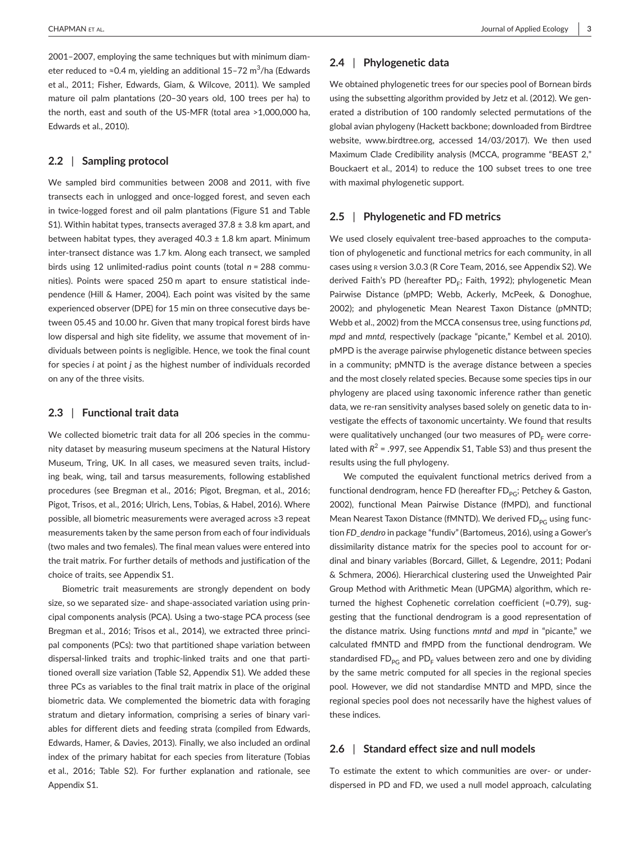2001–2007, employing the same techniques but with minimum diameter reduced to ≈0.4 m, yielding an additional 15–72 m $^3$ /ha (Edwards et al., 2011; Fisher, Edwards, Giam, & Wilcove, 2011). We sampled mature oil palm plantations (20–30 years old, 100 trees per ha) to the north, east and south of the US-MFR (total area >1,000,000 ha, Edwards et al., 2010).

## **2.2** | **Sampling protocol**

We sampled bird communities between 2008 and 2011, with five transects each in unlogged and once-logged forest, and seven each in twice-logged forest and oil palm plantations (Figure S1 and Table S1). Within habitat types, transects averaged 37.8 ± 3.8 km apart, and between habitat types, they averaged  $40.3 \pm 1.8$  km apart. Minimum inter-transect distance was 1.7 km. Along each transect, we sampled birds using 12 unlimited-radius point counts (total *n* = 288 communities). Points were spaced 250 m apart to ensure statistical independence (Hill & Hamer, 2004). Each point was visited by the same experienced observer (DPE) for 15 min on three consecutive days between 05.45 and 10.00 hr. Given that many tropical forest birds have low dispersal and high site fidelity, we assume that movement of individuals between points is negligible. Hence, we took the final count for species *i* at point *j* as the highest number of individuals recorded on any of the three visits.

#### **2.3** | **Functional trait data**

We collected biometric trait data for all 206 species in the community dataset by measuring museum specimens at the Natural History Museum, Tring, UK. In all cases, we measured seven traits, including beak, wing, tail and tarsus measurements, following established procedures (see Bregman et al., 2016; Pigot, Bregman, et al., 2016; Pigot, Trisos, et al., 2016; Ulrich, Lens, Tobias, & Habel, 2016). Where possible, all biometric measurements were averaged across ≥3 repeat measurements taken by the same person from each of four individuals (two males and two females). The final mean values were entered into the trait matrix. For further details of methods and justification of the choice of traits, see Appendix S1.

Biometric trait measurements are strongly dependent on body size, so we separated size- and shape-associated variation using principal components analysis (PCA). Using a two-stage PCA process (see Bregman et al., 2016; Trisos et al., 2014), we extracted three principal components (PCs): two that partitioned shape variation between dispersal-linked traits and trophic-linked traits and one that partitioned overall size variation (Table S2, Appendix S1). We added these three PCs as variables to the final trait matrix in place of the original biometric data. We complemented the biometric data with foraging stratum and dietary information, comprising a series of binary variables for different diets and feeding strata (compiled from Edwards, Edwards, Hamer, & Davies, 2013). Finally, we also included an ordinal index of the primary habitat for each species from literature (Tobias et al., 2016; Table S2). For further explanation and rationale, see Appendix S1.

## **2.4** | **Phylogenetic data**

We obtained phylogenetic trees for our species pool of Bornean birds using the subsetting algorithm provided by Jetz et al. (2012). We generated a distribution of 100 randomly selected permutations of the global avian phylogeny (Hackett backbone; downloaded from Birdtree website, [www.birdtree.org](http://www.birdtree.org), accessed 14/03/2017). We then used Maximum Clade Credibility analysis (MCCA, programme "BEAST 2," Bouckaert et al., 2014) to reduce the 100 subset trees to one tree with maximal phylogenetic support.

## **2.5** | **Phylogenetic and FD metrics**

We used closely equivalent tree-based approaches to the computation of phylogenetic and functional metrics for each community, in all cases using r version 3.0.3 (R Core Team, 2016, see Appendix S2). We derived Faith's PD (hereafter PD<sub>E</sub>; Faith, 1992); phylogenetic Mean Pairwise Distance (pMPD; Webb, Ackerly, McPeek, & Donoghue, 2002); and phylogenetic Mean Nearest Taxon Distance (pMNTD; Webb et al., 2002) from the MCCA consensus tree, using functions *pd*, *mpd* and *mntd,* respectively (package "picante," Kembel et al. 2010). pMPD is the average pairwise phylogenetic distance between species in a community; pMNTD is the average distance between a species and the most closely related species. Because some species tips in our phylogeny are placed using taxonomic inference rather than genetic data, we re-ran sensitivity analyses based solely on genetic data to investigate the effects of taxonomic uncertainty. We found that results were qualitatively unchanged (our two measures of  $PD_F$  were correlated with  $R^2$  = .997, see Appendix S1, Table S3) and thus present the results using the full phylogeny.

We computed the equivalent functional metrics derived from a functional dendrogram, hence FD (hereafter  $FD<sub>PC</sub>$ ; Petchey & Gaston, 2002), functional Mean Pairwise Distance (fMPD), and functional Mean Nearest Taxon Distance (fMNTD). We derived  $FD_{PG}$  using function *FD\_dendro* in package "fundiv" (Bartomeus, 2016), using a Gower's dissimilarity distance matrix for the species pool to account for ordinal and binary variables (Borcard, Gillet, & Legendre, 2011; Podani & Schmera, 2006). Hierarchical clustering used the Unweighted Pair Group Method with Arithmetic Mean (UPGMA) algorithm, which returned the highest Cophenetic correlation coefficient (=0.79), suggesting that the functional dendrogram is a good representation of the distance matrix. Using functions *mntd* and *mpd* in "picante," we calculated fMNTD and fMPD from the functional dendrogram. We standardised  $FD_{PG}$  and  $PD_F$  values between zero and one by dividing by the same metric computed for all species in the regional species pool. However, we did not standardise MNTD and MPD, since the regional species pool does not necessarily have the highest values of these indices.

## **2.6** | **Standard effect size and null models**

To estimate the extent to which communities are over- or underdispersed in PD and FD, we used a null model approach, calculating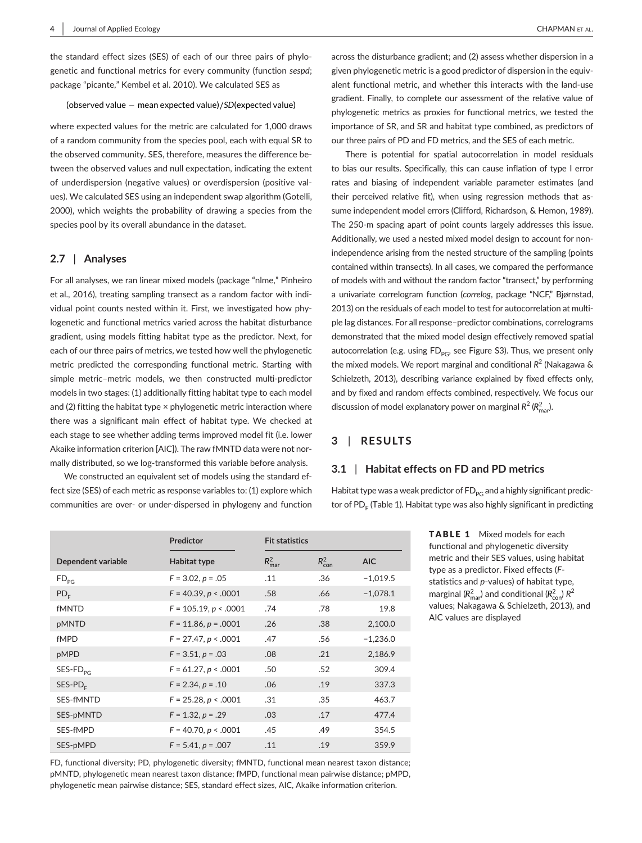the standard effect sizes (SES) of each of our three pairs of phylogenetic and functional metrics for every community (function *sespd*; package "picante," Kembel et al. 2010). We calculated SES as

#### (observed value − mean expected value)∕*SD*(expected value)

where expected values for the metric are calculated for 1,000 draws of a random community from the species pool, each with equal SR to the observed community. SES, therefore, measures the difference between the observed values and null expectation, indicating the extent of underdispersion (negative values) or overdispersion (positive values). We calculated SES using an independent swap algorithm (Gotelli, 2000), which weights the probability of drawing a species from the species pool by its overall abundance in the dataset.

#### **2.7** | **Analyses**

**Dependent variable**

For all analyses, we ran linear mixed models (package "nlme," Pinheiro et al., 2016), treating sampling transect as a random factor with individual point counts nested within it. First, we investigated how phylogenetic and functional metrics varied across the habitat disturbance gradient, using models fitting habitat type as the predictor. Next, for each of our three pairs of metrics, we tested how well the phylogenetic metric predicted the corresponding functional metric. Starting with simple metric–metric models, we then constructed multi-predictor models in two stages: (1) additionally fitting habitat type to each model and (2) fitting the habitat type × phylogenetic metric interaction where there was a significant main effect of habitat type. We checked at each stage to see whether adding terms improved model fit (i.e. lower Akaike information criterion [AIC]). The raw fMNTD data were not normally distributed, so we log-transformed this variable before analysis.

We constructed an equivalent set of models using the standard effect size (SES) of each metric as response variables to: (1) explore which communities are over- or under-dispersed in phylogeny and function

**Habitat type** 

across the disturbance gradient; and (2) assess whether dispersion in a given phylogenetic metric is a good predictor of dispersion in the equivalent functional metric, and whether this interacts with the land-use gradient. Finally, to complete our assessment of the relative value of phylogenetic metrics as proxies for functional metrics, we tested the importance of SR, and SR and habitat type combined, as predictors of our three pairs of PD and FD metrics, and the SES of each metric.

There is potential for spatial autocorrelation in model residuals to bias our results. Specifically, this can cause inflation of type I error rates and biasing of independent variable parameter estimates (and their perceived relative fit), when using regression methods that assume independent model errors (Clifford, Richardson, & Hemon, 1989). The 250-m spacing apart of point counts largely addresses this issue. Additionally, we used a nested mixed model design to account for nonindependence arising from the nested structure of the sampling (points contained within transects). In all cases, we compared the performance of models with and without the random factor "transect," by performing a univariate correlogram function (*correlog*, package "NCF," Bjørnstad, 2013) on the residuals of each model to test for autocorrelation at multiple lag distances. For all response–predictor combinations, correlograms demonstrated that the mixed model design effectively removed spatial autocorrelation (e.g. using  $FD_{PG}$ , see Figure S3). Thus, we present only the mixed models. We report marginal and conditional  $R^2$  (Nakagawa & Schielzeth, 2013), describing variance explained by fixed effects only, and by fixed and random effects combined, respectively. We focus our discussion of model explanatory power on marginal  $R^2$  ( $R^2_{\text{mar}}$ ).

## **3** | **RESULTS**

con **AIC**

## **3.1** | **Habitat effects on FD and PD metrics**

Habitat type was a weak predictor of  $FD_{PG}$  and a highly significant predictor of  $PD<sub>F</sub>$  (Table 1). Habitat type was also highly significant in predicting

> TABLE 1 Mixed models for each functional and phylogenetic diversity metric and their SES values, using habitat type as a predictor. Fixed effects (*F*statistics and *p*-values) of habitat type, marginal ( $R^2_{\text{mar}}$ ) and conditional ( $R^2_{\text{con}}$ )  $R^2$ values; Nakagawa & Schielzeth, 2013), and AIC values are displayed

| $FD_{PG}$                                                                                          | $F = 3.02, p = .05$        | .11 | .36 | $-1,019.5$ |  |  |  |  |
|----------------------------------------------------------------------------------------------------|----------------------------|-----|-----|------------|--|--|--|--|
| PD <sub>F</sub>                                                                                    | $F = 40.39, p < .0001$     | .58 | .66 | $-1,078.1$ |  |  |  |  |
| <b>fMNTD</b>                                                                                       | $F = 105.19$ , $p < .0001$ | .74 | .78 | 19.8       |  |  |  |  |
| pMNTD                                                                                              | $F = 11.86, p = .0001$     | .26 | .38 | 2,100.0    |  |  |  |  |
| fMPD                                                                                               | $F = 27.47, p < .0001$     | .47 | .56 | $-1,236.0$ |  |  |  |  |
| pMPD                                                                                               | $F = 3.51, p = .03$        | .08 | .21 | 2,186.9    |  |  |  |  |
| SES-FD <sub>PG</sub>                                                                               | $F = 61.27, p < .0001$     | .50 | .52 | 309.4      |  |  |  |  |
| $SES-PDc$                                                                                          | $F = 2.34, p = .10$        | .06 | .19 | 337.3      |  |  |  |  |
| SES-fMNTD                                                                                          | $F = 25.28$ , $p < .0001$  | .31 | .35 | 463.7      |  |  |  |  |
| SES-pMNTD                                                                                          | $F = 1.32, p = .29$        | .03 | .17 | 477.4      |  |  |  |  |
| SES-fMPD                                                                                           | $F = 40.70, p < .0001$     | .45 | .49 | 354.5      |  |  |  |  |
| SES-pMPD                                                                                           | $F = 5.41, p = .007$       | .11 | .19 | 359.9      |  |  |  |  |
| ED functional diversity: PD, phylogenetic diversity: fMNTD, functional mean nearest taxon distance |                            |     |     |            |  |  |  |  |

**Predictor Fit statistics**

 $R_{\text{mar}}^2$   $R_{\text{con}}^2$ 

FD, functional diversity; PD, phylogenetic diversity; fMNTD, functional mean nearest taxon distance; pMNTD, phylogenetic mean nearest taxon distance; fMPD, functional mean pairwise distance; pMPD, phylogenetic mean pairwise distance; SES, standard effect sizes, AIC, Akaike information criterion.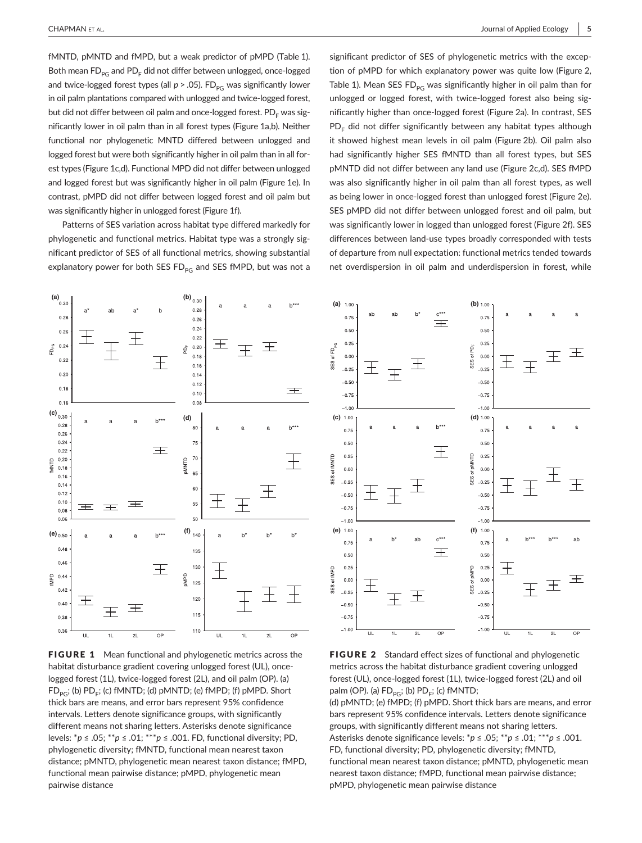fMNTD, pMNTD and fMPD, but a weak predictor of pMPD (Table 1). Both mean  $FD_{\text{DC}}$  and  $PD_{\text{E}}$  did not differ between unlogged, once-logged and twice-logged forest types (all  $p > .05$ ). FD<sub>PG</sub> was significantly lower in oil palm plantations compared with unlogged and twice-logged forest, but did not differ between oil palm and once-logged forest. PD<sub>E</sub> was significantly lower in oil palm than in all forest types (Figure 1a,b). Neither functional nor phylogenetic MNTD differed between unlogged and logged forest but were both significantly higher in oil palm than in all forest types (Figure 1c,d). Functional MPD did not differ between unlogged and logged forest but was significantly higher in oil palm (Figure 1e). In contrast, pMPD did not differ between logged forest and oil palm but was significantly higher in unlogged forest (Figure 1f).

Patterns of SES variation across habitat type differed markedly for phylogenetic and functional metrics. Habitat type was a strongly significant predictor of SES of all functional metrics, showing substantial explanatory power for both SES  $FD_{PG}$  and SES fMPD, but was not a significant predictor of SES of phylogenetic metrics with the exception of pMPD for which explanatory power was quite low (Figure 2, Table 1). Mean SES FD $_{PG}$  was significantly higher in oil palm than for unlogged or logged forest, with twice-logged forest also being significantly higher than once-logged forest (Figure 2a). In contrast, SES  $PD<sub>r</sub>$  did not differ significantly between any habitat types although it showed highest mean levels in oil palm (Figure 2b). Oil palm also had significantly higher SES fMNTD than all forest types, but SES pMNTD did not differ between any land use (Figure 2c,d). SES fMPD was also significantly higher in oil palm than all forest types, as well as being lower in once-logged forest than unlogged forest (Figure 2e). SES pMPD did not differ between unlogged forest and oil palm, but was significantly lower in logged than unlogged forest (Figure 2f). SES differences between land-use types broadly corresponded with tests of departure from null expectation: functional metrics tended towards net overdispersion in oil palm and underdispersion in forest, while



FIGURE 1 Mean functional and phylogenetic metrics across the habitat disturbance gradient covering unlogged forest (UL), oncelogged forest (1L), twice-logged forest (2L), and oil palm (OP). (a)  $FD_{PG}$ ; (b)  $PD_F$ ; (c) fMNTD; (d) pMNTD; (e) fMPD; (f) pMPD. Short thick bars are means, and error bars represent 95% confidence intervals. Letters denote significance groups, with significantly different means not sharing letters. Asterisks denote significance levels: \**p* ≤ .05; \*\**p* ≤ .01; \*\*\**p* ≤ .001. FD, functional diversity; PD, phylogenetic diversity; fMNTD, functional mean nearest taxon distance; pMNTD, phylogenetic mean nearest taxon distance; fMPD, functional mean pairwise distance; pMPD, phylogenetic mean pairwise distance



FIGURE 2 Standard effect sizes of functional and phylogenetic metrics across the habitat disturbance gradient covering unlogged forest (UL), once-logged forest (1L), twice-logged forest (2L) and oil palm (OP). (a)  $FD_{PG}$ ; (b)  $PD_F$ ; (c) fMNTD;

(d) pMNTD; (e) fMPD; (f) pMPD. Short thick bars are means, and error bars represent 95% confidence intervals. Letters denote significance groups, with significantly different means not sharing letters. Asterisks denote significance levels: \**p* ≤ .05; \*\**p* ≤ .01; \*\*\**p* ≤ .001. FD, functional diversity; PD, phylogenetic diversity; fMNTD, functional mean nearest taxon distance; pMNTD, phylogenetic mean nearest taxon distance; fMPD, functional mean pairwise distance; pMPD, phylogenetic mean pairwise distance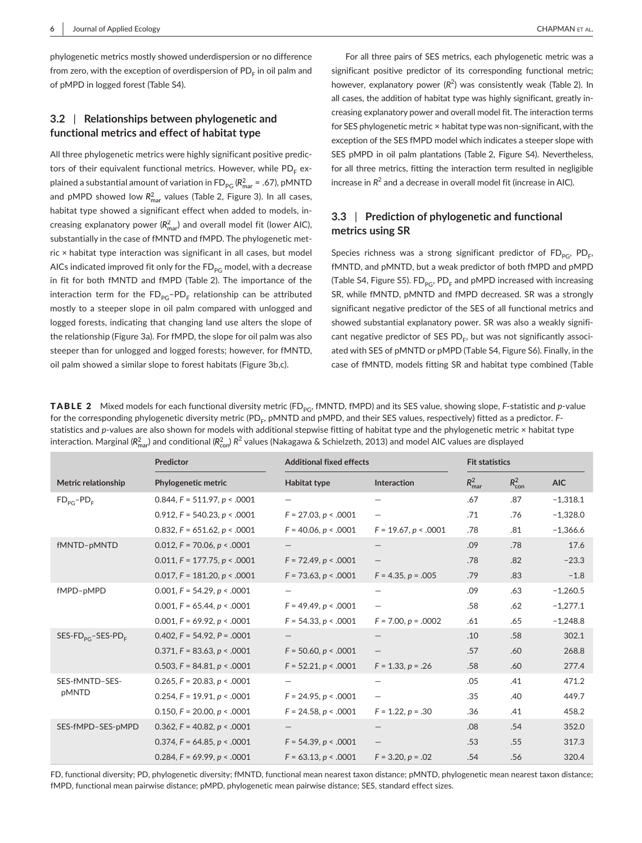phylogenetic metrics mostly showed underdispersion or no difference from zero, with the exception of overdispersion of  $PD<sub>F</sub>$  in oil palm and of pMPD in logged forest (Table S4).

# **3.2** | **Relationships between phylogenetic and functional metrics and effect of habitat type**

All three phylogenetic metrics were highly significant positive predictors of their equivalent functional metrics. However, while  $PD<sub>F</sub>$  explained a substantial amount of variation in FD<sub>PG</sub> (R<sup>2</sup><sub>mar</sub> = .67), pMNTD and pMPD showed low R<sup>2</sup><sub>mar</sub> values (Table 2, Figure 3). In all cases, habitat type showed a significant effect when added to models, increasing explanatory power (R<sup>2</sup><sub>mar</sub>) and overall model fit (lower AIC), substantially in the case of fMNTD and fMPD. The phylogenetic metric × habitat type interaction was significant in all cases, but model AICs indicated improved fit only for the  $FD_{PG}$  model, with a decrease in fit for both fMNTD and fMPD (Table 2). The importance of the interaction term for the  $FD_{PG}$ -PD<sub>F</sub> relationship can be attributed mostly to a steeper slope in oil palm compared with unlogged and logged forests, indicating that changing land use alters the slope of the relationship (Figure 3a). For fMPD, the slope for oil palm was also steeper than for unlogged and logged forests; however, for fMNTD, oil palm showed a similar slope to forest habitats (Figure 3b,c).

For all three pairs of SES metrics, each phylogenetic metric was a significant positive predictor of its corresponding functional metric; however, explanatory power  $(R^2)$  was consistently weak (Table 2). In all cases, the addition of habitat type was highly significant, greatly increasing explanatory power and overall model fit. The interaction terms for SES phylogenetic metric × habitat type was non-significant, with the exception of the SES fMPD model which indicates a steeper slope with SES pMPD in oil palm plantations (Table 2, Figure S4). Nevertheless, for all three metrics, fitting the interaction term resulted in negligible increase in  $R^2$  and a decrease in overall model fit (increase in AIC).

# **3.3** | **Prediction of phylogenetic and functional metrics using SR**

Species richness was a strong significant predictor of  $FD_{PG}$ ,  $PD_F$ , fMNTD, and pMNTD, but a weak predictor of both fMPD and pMPD (Table S4, Figure S5).  $FD_{pG}$ ,  $PD_{F}$  and pMPD increased with increasing SR, while fMNTD, pMNTD and fMPD decreased. SR was a strongly significant negative predictor of the SES of all functional metrics and showed substantial explanatory power. SR was also a weakly significant negative predictor of SES  $PD_F$ , but was not significantly associated with SES of pMNTD or pMPD (Table S4, Figure S6). Finally, in the case of fMNTD, models fitting SR and habitat type combined (Table

TABLE 2 Mixed models for each functional diversity metric (FD<sub>PG</sub>, fMNTD, fMPD) and its SES value, showing slope, *F*-statistic and *p*-value for the corresponding phylogenetic diversity metric (PD<sub>E</sub>, pMNTD and pMPD, and their SES values, respectively) fitted as a predictor. *F*statistics and *p*-values are also shown for models with additional stepwise fitting of habitat type and the phylogenetic metric × habitat type interaction. Marginal (R<sup>2</sup><sub>mar</sub>) and conditional (R<sup>2</sup><sub>con</sub>) R<sup>2</sup> values (Nakagawa & Schielzeth, 2013) and model AIC values are displayed

|                                        | Predictor                            | <b>Additional fixed effects</b> |                                           | <b>Fit statistics</b> |                 |            |
|----------------------------------------|--------------------------------------|---------------------------------|-------------------------------------------|-----------------------|-----------------|------------|
| Metric relationship                    | Phylogenetic metric                  | <b>Habitat type</b>             | Interaction                               | $R_{\text{mar}}^2$    | $R_{\rm con}^2$ | <b>AIC</b> |
| $FD_{PG}$ - $PD_F$                     | 0.844, $F = 511.97$ , $p < .0001$    |                                 |                                           | .67                   | .87             | $-1,318.1$ |
|                                        | 0.912, $F = 540.23$ , $p < .0001$    | $F = 27.03$ , $p < .0001$       |                                           | .71                   | .76             | $-1,328.0$ |
|                                        | 0.832, $F = 651.62$ , $p < .0001$    | $F = 40.06, p < .0001$          | $F = 19.67, p < .0001$                    | .78                   | .81             | $-1,366.6$ |
| fMNTD-pMNTD                            | 0.012, $F = 70.06$ , $p < .0001$     |                                 | $\qquad \qquad \overline{\qquad \qquad }$ | .09                   | .78             | 17.6       |
|                                        | $0.011$ , $F = 177.75$ , $p < .0001$ | $F = 72.49$ , $p < .0001$       | $\qquad \qquad -$                         | .78                   | .82             | $-23.3$    |
|                                        | 0.017, $F = 181.20$ , $p < .0001$    | $F = 73.63$ , $p < .0001$       | $F = 4.35, p = .005$                      | .79                   | .83             | $-1.8$     |
| fMPD-pMPD                              | 0.001, $F = 54.29$ , $p < .0001$     |                                 |                                           | .09                   | .63             | $-1,260.5$ |
|                                        | $0.001$ , $F = 65.44$ , $p < 0.0001$ | $F = 49.49, p < .0001$          |                                           | .58                   | .62             | $-1,277.1$ |
|                                        | 0.001, $F = 69.92$ , $p < .0001$     | $F = 54.33, p < .0001$          | $F = 7.00, p = .0002$                     | .61                   | .65             | $-1,248.8$ |
| $SES-FD_{\text{PC}}-SES-PD_{\text{F}}$ | $0.402$ , $F = 54.92$ , $P = .0001$  |                                 | $\overline{\phantom{0}}$                  | .10                   | .58             | 302.1      |
|                                        | $0.371, F = 83.63, p < .0001$        | $F = 50.60, p < .0001$          | $\qquad \qquad -$                         | .57                   | .60             | 268.8      |
|                                        | 0.503, $F = 84.81$ , $p < .0001$     | $F = 52.21, p < .0001$          | $F = 1.33, p = .26$                       | .58                   | .60             | 277.4      |
| SES-fMNTD-SES-<br>pMNTD                | 0.265, $F = 20.83$ , $p < .0001$     |                                 |                                           | .05                   | .41             | 471.2      |
|                                        | 0.254, $F = 19.91$ , $p < .0001$     | $F = 24.95$ , $p < .0001$       |                                           | .35                   | .40             | 449.7      |
|                                        | 0.150, $F = 20.00$ , $p < .0001$     | $F = 24.58$ , $p < .0001$       | $F = 1.22, p = .30$                       | .36                   | .41             | 458.2      |
| SES-fMPD-SES-pMPD                      | 0.362, $F = 40.82$ , $p < .0001$     |                                 |                                           | .08                   | .54             | 352.0      |
|                                        | 0.374, $F = 64.85$ , $p < .0001$     | $F = 54.39, p < .0001$          |                                           | .53                   | .55             | 317.3      |
|                                        | 0.284, $F = 69.99$ , $p < .0001$     | $F = 63.13$ , $p < .0001$       | $F = 3.20, p = .02$                       | .54                   | .56             | 320.4      |

FD, functional diversity; PD, phylogenetic diversity; fMNTD, functional mean nearest taxon distance; pMNTD, phylogenetic mean nearest taxon distance; fMPD, functional mean pairwise distance; pMPD, phylogenetic mean pairwise distance; SES, standard effect sizes.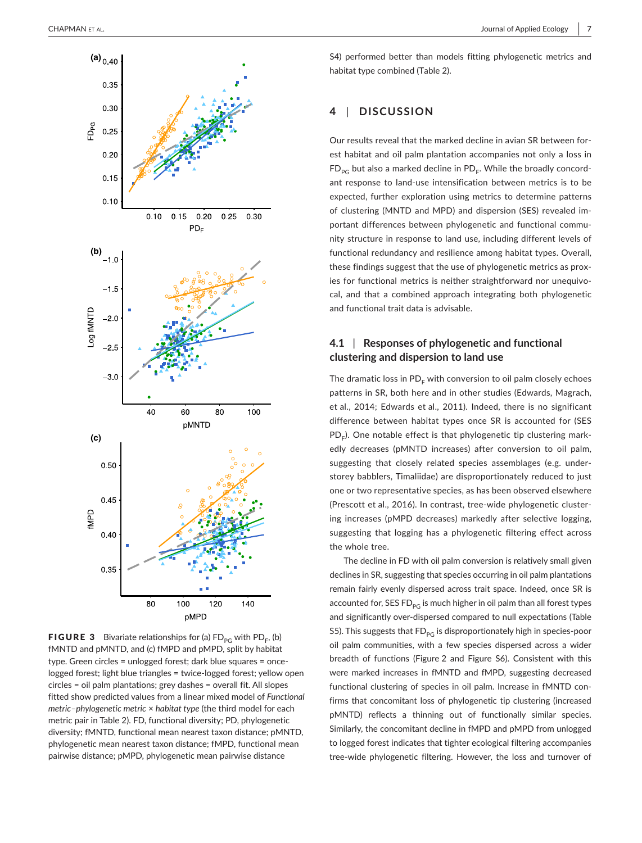

**FIGURE 3** Bivariate relationships for (a)  $FD_{PG}$  with  $PD_{F}$ , (b) fMNTD and pMNTD, and (c) fMPD and pMPD, split by habitat type. Green circles = unlogged forest; dark blue squares = oncelogged forest; light blue triangles = twice-logged forest; yellow open circles = oil palm plantations; grey dashes = overall fit. All slopes fitted show predicted values from a linear mixed model of *Functional metric–phylogenetic metric* × *habitat type* (the third model for each metric pair in Table 2). FD, functional diversity; PD, phylogenetic diversity; fMNTD, functional mean nearest taxon distance; pMNTD, phylogenetic mean nearest taxon distance; fMPD, functional mean pairwise distance; pMPD, phylogenetic mean pairwise distance

S4) performed better than models fitting phylogenetic metrics and habitat type combined (Table 2).

# **4** | **DISCUSSION**

Our results reveal that the marked decline in avian SR between forest habitat and oil palm plantation accompanies not only a loss in  $FD_{\text{PC}}$  but also a marked decline in  $PD_{\text{F}}$ . While the broadly concordant response to land-use intensification between metrics is to be expected, further exploration using metrics to determine patterns of clustering (MNTD and MPD) and dispersion (SES) revealed important differences between phylogenetic and functional community structure in response to land use, including different levels of functional redundancy and resilience among habitat types. Overall, these findings suggest that the use of phylogenetic metrics as proxies for functional metrics is neither straightforward nor unequivocal, and that a combined approach integrating both phylogenetic and functional trait data is advisable.

# **4.1** | **Responses of phylogenetic and functional clustering and dispersion to land use**

The dramatic loss in  $PD_F$  with conversion to oil palm closely echoes patterns in SR, both here and in other studies (Edwards, Magrach, et al., 2014; Edwards et al., 2011). Indeed, there is no significant difference between habitat types once SR is accounted for (SES PD<sub>c</sub>). One notable effect is that phylogenetic tip clustering markedly decreases (pMNTD increases) after conversion to oil palm, suggesting that closely related species assemblages (e.g. understorey babblers, Timaliidae) are disproportionately reduced to just one or two representative species, as has been observed elsewhere (Prescott et al., 2016). In contrast, tree-wide phylogenetic clustering increases (pMPD decreases) markedly after selective logging, suggesting that logging has a phylogenetic filtering effect across the whole tree.

The decline in FD with oil palm conversion is relatively small given declines in SR, suggesting that species occurring in oil palm plantations remain fairly evenly dispersed across trait space. Indeed, once SR is accounted for, SES FD $_{PG}$  is much higher in oil palm than all forest types and significantly over-dispersed compared to null expectations (Table S5). This suggests that  $FD_{PG}$  is disproportionately high in species-poor oil palm communities, with a few species dispersed across a wider breadth of functions (Figure 2 and Figure S6). Consistent with this were marked increases in fMNTD and fMPD, suggesting decreased functional clustering of species in oil palm. Increase in fMNTD confirms that concomitant loss of phylogenetic tip clustering (increased pMNTD) reflects a thinning out of functionally similar species. Similarly, the concomitant decline in fMPD and pMPD from unlogged to logged forest indicates that tighter ecological filtering accompanies tree-wide phylogenetic filtering. However, the loss and turnover of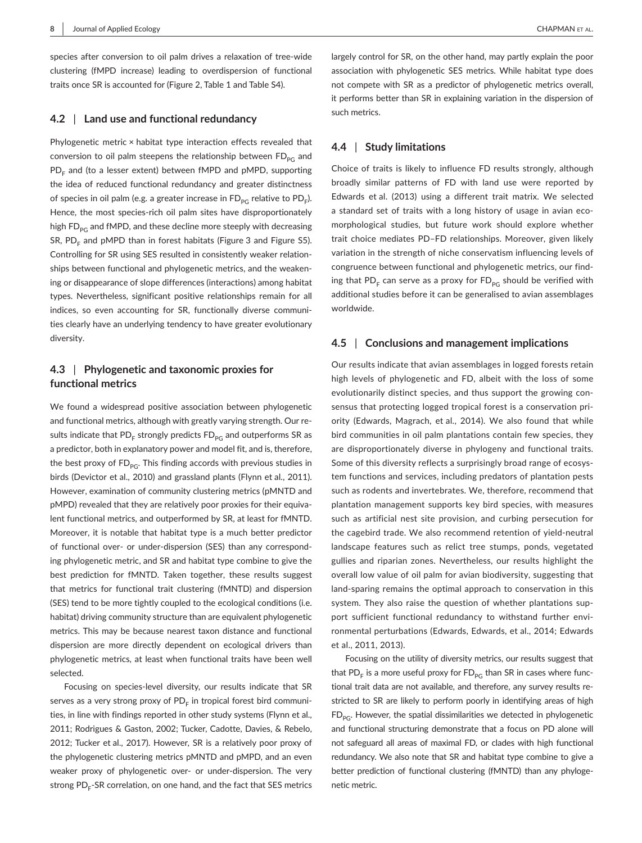species after conversion to oil palm drives a relaxation of tree-wide clustering (fMPD increase) leading to overdispersion of functional traits once SR is accounted for (Figure 2, Table 1 and Table S4).

#### **4.2** | **Land use and functional redundancy**

Phylogenetic metric × habitat type interaction effects revealed that conversion to oil palm steepens the relationship between  $FD_{PC}$  and  $PD<sub>F</sub>$  and (to a lesser extent) between fMPD and pMPD, supporting the idea of reduced functional redundancy and greater distinctness of species in oil palm (e.g. a greater increase in  $FD_{pG}$  relative to  $PD_{F}$ ). Hence, the most species-rich oil palm sites have disproportionately high  $FD_{PG}$  and fMPD, and these decline more steeply with decreasing SR,  $PD<sub>F</sub>$  and pMPD than in forest habitats (Figure 3 and Figure S5). Controlling for SR using SES resulted in consistently weaker relationships between functional and phylogenetic metrics, and the weakening or disappearance of slope differences (interactions) among habitat types. Nevertheless, significant positive relationships remain for all indices, so even accounting for SR, functionally diverse communities clearly have an underlying tendency to have greater evolutionary diversity.

# **4.3** | **Phylogenetic and taxonomic proxies for functional metrics**

We found a widespread positive association between phylogenetic and functional metrics, although with greatly varying strength. Our results indicate that  $PD_F$  strongly predicts  $FD_{PG}$  and outperforms SR as a predictor, both in explanatory power and model fit, and is, therefore, the best proxy of  $FD_{PG}$ . This finding accords with previous studies in birds (Devictor et al., 2010) and grassland plants (Flynn et al., 2011). However, examination of community clustering metrics (pMNTD and pMPD) revealed that they are relatively poor proxies for their equivalent functional metrics, and outperformed by SR, at least for fMNTD. Moreover, it is notable that habitat type is a much better predictor of functional over- or under-dispersion (SES) than any corresponding phylogenetic metric, and SR and habitat type combine to give the best prediction for fMNTD. Taken together, these results suggest that metrics for functional trait clustering (fMNTD) and dispersion (SES) tend to be more tightly coupled to the ecological conditions (i.e. habitat) driving community structure than are equivalent phylogenetic metrics. This may be because nearest taxon distance and functional dispersion are more directly dependent on ecological drivers than phylogenetic metrics, at least when functional traits have been well selected.

Focusing on species-level diversity, our results indicate that SR serves as a very strong proxy of  $PD_F$  in tropical forest bird communities, in line with findings reported in other study systems (Flynn et al., 2011; Rodrigues & Gaston, 2002; Tucker, Cadotte, Davies, & Rebelo, 2012; Tucker et al., 2017). However, SR is a relatively poor proxy of the phylogenetic clustering metrics pMNTD and pMPD, and an even weaker proxy of phylogenetic over- or under-dispersion. The very strong  $PD_F$ -SR correlation, on one hand, and the fact that SES metrics

largely control for SR, on the other hand, may partly explain the poor association with phylogenetic SES metrics. While habitat type does not compete with SR as a predictor of phylogenetic metrics overall, it performs better than SR in explaining variation in the dispersion of such metrics.

## **4.4** | **Study limitations**

Choice of traits is likely to influence FD results strongly, although broadly similar patterns of FD with land use were reported by Edwards et al. (2013) using a different trait matrix. We selected a standard set of traits with a long history of usage in avian ecomorphological studies, but future work should explore whether trait choice mediates PD–FD relationships. Moreover, given likely variation in the strength of niche conservatism influencing levels of congruence between functional and phylogenetic metrics, our finding that  $PD_F$  can serve as a proxy for  $FD_{PG}$  should be verified with additional studies before it can be generalised to avian assemblages worldwide.

#### **4.5** | **Conclusions and management implications**

Our results indicate that avian assemblages in logged forests retain high levels of phylogenetic and FD, albeit with the loss of some evolutionarily distinct species, and thus support the growing consensus that protecting logged tropical forest is a conservation priority (Edwards, Magrach, et al., 2014). We also found that while bird communities in oil palm plantations contain few species, they are disproportionately diverse in phylogeny and functional traits. Some of this diversity reflects a surprisingly broad range of ecosystem functions and services, including predators of plantation pests such as rodents and invertebrates. We, therefore, recommend that plantation management supports key bird species, with measures such as artificial nest site provision, and curbing persecution for the cagebird trade. We also recommend retention of yield-neutral landscape features such as relict tree stumps, ponds, vegetated gullies and riparian zones. Nevertheless, our results highlight the overall low value of oil palm for avian biodiversity, suggesting that land-sparing remains the optimal approach to conservation in this system. They also raise the question of whether plantations support sufficient functional redundancy to withstand further environmental perturbations (Edwards, Edwards, et al., 2014; Edwards et al., 2011, 2013).

Focusing on the utility of diversity metrics, our results suggest that that PD<sub>F</sub> is a more useful proxy for FD<sub>PG</sub> than SR in cases where functional trait data are not available, and therefore, any survey results restricted to SR are likely to perform poorly in identifying areas of high  $FD<sub>PG</sub>$ . However, the spatial dissimilarities we detected in phylogenetic and functional structuring demonstrate that a focus on PD alone will not safeguard all areas of maximal FD, or clades with high functional redundancy. We also note that SR and habitat type combine to give a better prediction of functional clustering (fMNTD) than any phylogenetic metric.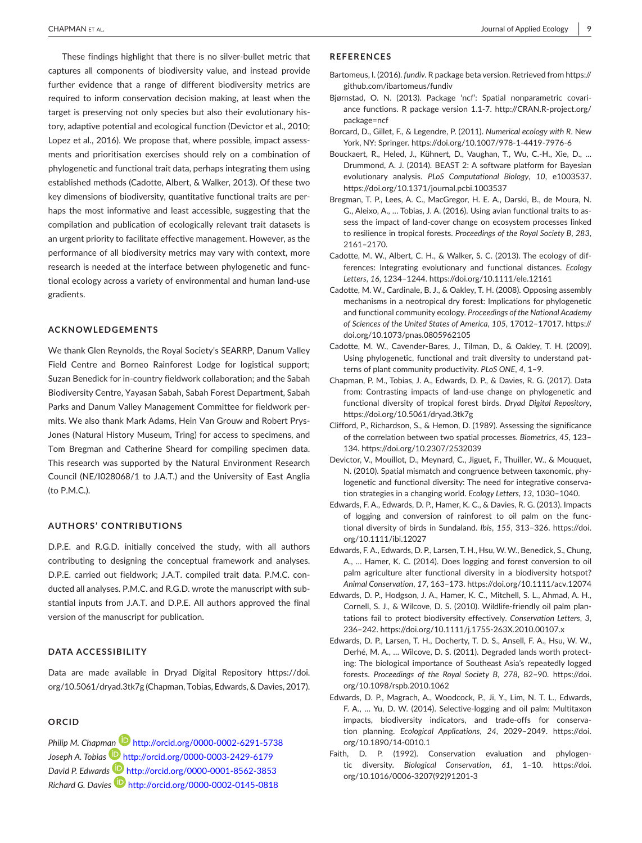**|** CHAPMAN et al. Journal of Applied Ecology **9**

These findings highlight that there is no silver-bullet metric that captures all components of biodiversity value, and instead provide further evidence that a range of different biodiversity metrics are required to inform conservation decision making, at least when the target is preserving not only species but also their evolutionary history, adaptive potential and ecological function (Devictor et al., 2010; Lopez et al., 2016). We propose that, where possible, impact assessments and prioritisation exercises should rely on a combination of phylogenetic and functional trait data, perhaps integrating them using established methods (Cadotte, Albert, & Walker, 2013). Of these two key dimensions of biodiversity, quantitative functional traits are perhaps the most informative and least accessible, suggesting that the compilation and publication of ecologically relevant trait datasets is an urgent priority to facilitate effective management. However, as the performance of all biodiversity metrics may vary with context, more research is needed at the interface between phylogenetic and functional ecology across a variety of environmental and human land-use gradients.

#### **ACKNOWLEDGEMENTS**

We thank Glen Reynolds, the Royal Society's SEARRP, Danum Valley Field Centre and Borneo Rainforest Lodge for logistical support; Suzan Benedick for in-country fieldwork collaboration; and the Sabah Biodiversity Centre, Yayasan Sabah, Sabah Forest Department, Sabah Parks and Danum Valley Management Committee for fieldwork permits. We also thank Mark Adams, Hein Van Grouw and Robert Prys-Jones (Natural History Museum, Tring) for access to specimens, and Tom Bregman and Catherine Sheard for compiling specimen data. This research was supported by the Natural Environment Research Council (NE/I028068/1 to J.A.T.) and the University of East Anglia (to P.M.C.).

## **AUTHORS' CONTRIBUTIONS**

D.P.E. and R.G.D. initially conceived the study, with all authors contributing to designing the conceptual framework and analyses. D.P.E. carried out fieldwork; J.A.T. compiled trait data. P.M.C. conducted all analyses. P.M.C. and R.G.D. wrote the manuscript with substantial inputs from J.A.T. and D.P.E. All authors approved the final version of the manuscript for publication.

#### **DATA ACCESSIBILITY**

Data are made available in Dryad Digital Repository [https://doi.](https://doi.org/10.5061/dryad.3tk7g) [org/10.5061/dryad.3tk7g](https://doi.org/10.5061/dryad.3tk7g) (Chapman, Tobias, Edwards, & Davies, 2017).

#### **ORCID**

*Philip M. Chap[man](http://orcid.org/0000-0003-2429-6179)* <http://orcid.org/0000-0002-6291-5738> Joseph A. Tobias **b** <http://orcid.org/0000-0003-2429-6179> *David P. Edwards* <http://orcid.org/0000-0001-8562-3853> *Richard G. Davie[s](http://orcid.org/0000-0002-0145-0818)* <http://orcid.org/0000-0002-0145-0818>

#### **REFERENCES**

- Bartomeus, I. (2016). *fundiv.* R package beta version. Retrieved from [https://](https://github.com/ibartomeus/fundiv) [github.com/ibartomeus/fundiv](https://github.com/ibartomeus/fundiv)
- Bjørnstad, O. N. (2013). Package 'ncf': Spatial nonparametric covariance functions. R package version 1.1-7. [http://CRAN.R-project.org/](http://CRAN.R-project.org/package=ncf) [package=ncf](http://CRAN.R-project.org/package=ncf)
- Borcard, D., Gillet, F., & Legendre, P. (2011). *Numerical ecology with R*. New York, NY: Springer. <https://doi.org/10.1007/978-1-4419-7976-6>
- Bouckaert, R., Heled, J., Kühnert, D., Vaughan, T., Wu, C.-H., Xie, D., … Drummond, A. J. (2014). BEAST 2: A software platform for Bayesian evolutionary analysis. *PLoS Computational Biology*, *10*, e1003537. <https://doi.org/10.1371/journal.pcbi.1003537>
- Bregman, T. P., Lees, A. C., MacGregor, H. E. A., Darski, B., de Moura, N. G., Aleixo, A., … Tobias, J. A. (2016). Using avian functional traits to assess the impact of land-cover change on ecosystem processes linked to resilience in tropical forests. *Proceedings of the Royal Society B*, *283*, 2161–2170.
- Cadotte, M. W., Albert, C. H., & Walker, S. C. (2013). The ecology of differences: Integrating evolutionary and functional distances. *Ecology Letters*, *16*, 1234–1244. <https://doi.org/10.1111/ele.12161>
- Cadotte, M. W., Cardinale, B. J., & Oakley, T. H. (2008). Opposing assembly mechanisms in a neotropical dry forest: Implications for phylogenetic and functional community ecology. *Proceedings of the National Academy of Sciences of the United States of America*, *105*, 17012–17017. [https://](https://doi.org/10.1073/pnas.0805962105) [doi.org/10.1073/pnas.0805962105](https://doi.org/10.1073/pnas.0805962105)
- Cadotte, M. W., Cavender-Bares, J., Tilman, D., & Oakley, T. H. (2009). Using phylogenetic, functional and trait diversity to understand patterns of plant community productivity. *PLoS ONE*, *4*, 1–9.
- Chapman, P. M., Tobias, J. A., Edwards, D. P., & Davies, R. G. (2017). Data from: Contrasting impacts of land-use change on phylogenetic and functional diversity of tropical forest birds. *Dryad Digital Repository*, <https://doi.org/10.5061/dryad.3tk7g>
- Clifford, P., Richardson, S., & Hemon, D. (1989). Assessing the significance of the correlation between two spatial processes. *Biometrics*, *45*, 123– 134. <https://doi.org/10.2307/2532039>
- Devictor, V., Mouillot, D., Meynard, C., Jiguet, F., Thuiller, W., & Mouquet, N. (2010). Spatial mismatch and congruence between taxonomic, phylogenetic and functional diversity: The need for integrative conservation strategies in a changing world. *Ecology Letters*, *13*, 1030–1040.
- Edwards, F. A., Edwards, D. P., Hamer, K. C., & Davies, R. G. (2013). Impacts of logging and conversion of rainforest to oil palm on the functional diversity of birds in Sundaland. *Ibis*, *155*, 313–326. [https://doi.](https://doi.org/10.1111/ibi.12027) [org/10.1111/ibi.12027](https://doi.org/10.1111/ibi.12027)
- Edwards, F.A., Edwards, D. P., Larsen, T. H., Hsu, W. W., Benedick, S., Chung, A., … Hamer, K. C. (2014). Does logging and forest conversion to oil palm agriculture alter functional diversity in a biodiversity hotspot? *Animal Conservation*, *17*, 163–173. <https://doi.org/10.1111/acv.12074>
- Edwards, D. P., Hodgson, J. A., Hamer, K. C., Mitchell, S. L., Ahmad, A. H., Cornell, S. J., & Wilcove, D. S. (2010). Wildlife-friendly oil palm plantations fail to protect biodiversity effectively. *Conservation Letters*, *3*, 236–242. <https://doi.org/10.1111/j.1755-263X.2010.00107.x>
- Edwards, D. P., Larsen, T. H., Docherty, T. D. S., Ansell, F. A., Hsu, W. W., Derhé, M. A., … Wilcove, D. S. (2011). Degraded lands worth protecting: The biological importance of Southeast Asia's repeatedly logged forests. *Proceedings of the Royal Society B*, *278*, 82–90. [https://doi.](https://doi.org/10.1098/rspb.2010.1062) [org/10.1098/rspb.2010.1062](https://doi.org/10.1098/rspb.2010.1062)
- Edwards, D. P., Magrach, A., Woodcock, P., Ji, Y., Lim, N. T. L., Edwards, F. A., … Yu, D. W. (2014). Selective-logging and oil palm: Multitaxon impacts, biodiversity indicators, and trade-offs for conservation planning. *Ecological Applications*, *24*, 2029–2049. [https://doi.](https://doi.org/10.1890/14-0010.1) [org/10.1890/14-0010.1](https://doi.org/10.1890/14-0010.1)
- Faith, D. P. (1992). Conservation evaluation and phylogentic diversity. *Biological Conservation*, *61*, 1–10. [https://doi.](https://doi.org/10.1016/0006-3207(92)91201-3) [org/10.1016/0006-3207\(92\)91201-3](https://doi.org/10.1016/0006-3207(92)91201-3)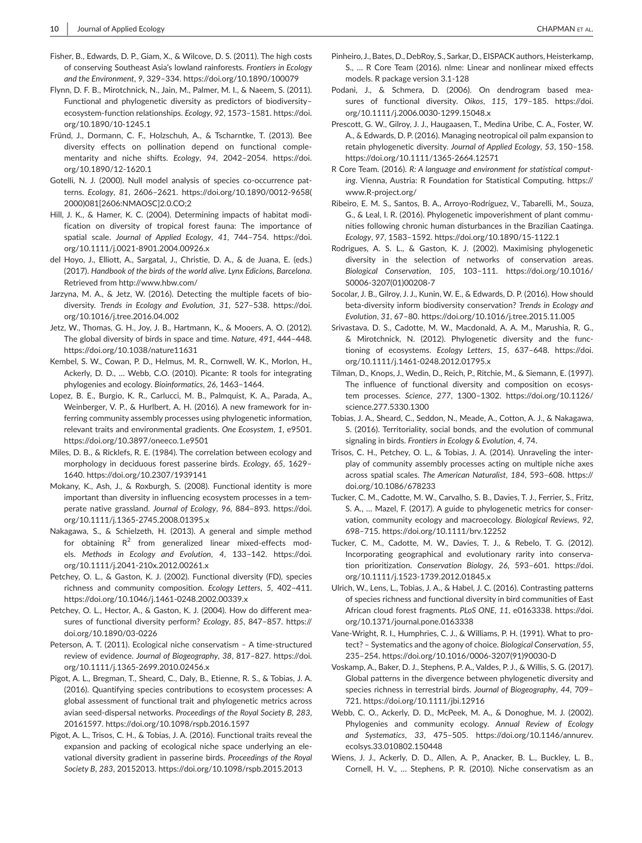- Fisher, B., Edwards, D. P., Giam, X., & Wilcove, D. S. (2011). The high costs of conserving Southeast Asia's lowland rainforests. *Frontiers in Ecology and the Environment*, *9*, 329–334. <https://doi.org/10.1890/100079>
- Flynn, D. F. B., Mirotchnick, N., Jain, M., Palmer, M. I., & Naeem, S. (2011). Functional and phylogenetic diversity as predictors of biodiversity– ecosystem-function relationships. *Ecology*, *92*, 1573–1581. [https://doi.](https://doi.org/10.1890/10-1245.1) [org/10.1890/10-1245.1](https://doi.org/10.1890/10-1245.1)
- Fründ, J., Dormann, C. F., Holzschuh, A., & Tscharntke, T. (2013). Bee diversity effects on pollination depend on functional complementarity and niche shifts. *Ecology*, *94*, 2042–2054. [https://doi.](https://doi.org/10.1890/12-1620.1) [org/10.1890/12-1620.1](https://doi.org/10.1890/12-1620.1)
- Gotelli, N. J. (2000). Null model analysis of species co-occurrence patterns. *Ecology*, *81*, 2606–2621. [https://doi.org/10.1890/0012-9658\(](https://doi.org/10.1890/0012-9658(2000)081[2606:NMAOSC]2.0.CO;2) [2000\)081\[2606:NMAOSC\]2.0.CO;2](https://doi.org/10.1890/0012-9658(2000)081[2606:NMAOSC]2.0.CO;2)
- Hill, J. K., & Hamer, K. C. (2004). Determining impacts of habitat modification on diversity of tropical forest fauna: The importance of spatial scale. *Journal of Applied Ecology*, *41*, 744–754. [https://doi.](https://doi.org/10.1111/j.0021-8901.2004.00926.x) [org/10.1111/j.0021-8901.2004.00926.x](https://doi.org/10.1111/j.0021-8901.2004.00926.x)
- del Hoyo, J., Elliott, A., Sargatal, J., Christie, D. A., & de Juana, E. (eds.) (2017). *Handbook of the birds of the world alive. Lynx Edicions, Barcelona*. Retrieved from <http://www.hbw.com/>
- Jarzyna, M. A., & Jetz, W. (2016). Detecting the multiple facets of biodiversity. *Trends in Ecology and Evolution*, *31*, 527–538. [https://doi.](https://doi.org/10.1016/j.tree.2016.04.002) [org/10.1016/j.tree.2016.04.002](https://doi.org/10.1016/j.tree.2016.04.002)
- Jetz, W., Thomas, G. H., Joy, J. B., Hartmann, K., & Mooers, A. O. (2012). The global diversity of birds in space and time. *Nature*, *491*, 444–448. <https://doi.org/10.1038/nature11631>
- Kembel, S. W., Cowan, P. D., Helmus, M. R., Cornwell, W. K., Morlon, H., Ackerly, D. D., … Webb, C.O. (2010). Picante: R tools for integrating phylogenies and ecology. *Bioinformatics*, *26*, 1463–1464.
- Lopez, B. E., Burgio, K. R., Carlucci, M. B., Palmquist, K. A., Parada, A., Weinberger, V. P., & Hurlbert, A. H. (2016). A new framework for inferring community assembly processes using phylogenetic information, relevant traits and environmental gradients. *One Ecosystem*, *1*, e9501. <https://doi.org/10.3897/oneeco.1.e9501>
- Miles, D. B., & Ricklefs, R. E. (1984). The correlation between ecology and morphology in deciduous forest passerine birds. *Ecology*, *65*, 1629– 1640. <https://doi.org/10.2307/1939141>
- Mokany, K., Ash, J., & Roxburgh, S. (2008). Functional identity is more important than diversity in influencing ecosystem processes in a temperate native grassland. *Journal of Ecology*, *96*, 884–893. [https://doi.](https://doi.org/10.1111/j.1365-2745.2008.01395.x) [org/10.1111/j.1365-2745.2008.01395.x](https://doi.org/10.1111/j.1365-2745.2008.01395.x)
- Nakagawa, S., & Schielzeth, H. (2013). A general and simple method for obtaining  $R^2$  from generalized linear mixed-effects models. *Methods in Ecology and Evolution*, *4*, 133–142. [https://doi.](https://doi.org/10.1111/j.2041-210x.2012.00261.x) [org/10.1111/j.2041-210x.2012.00261.x](https://doi.org/10.1111/j.2041-210x.2012.00261.x)
- Petchey, O. L., & Gaston, K. J. (2002). Functional diversity (FD), species richness and community composition. *Ecology Letters*, *5*, 402–411. <https://doi.org/10.1046/j.1461-0248.2002.00339.x>
- Petchey, O. L., Hector, A., & Gaston, K. J. (2004). How do different measures of functional diversity perform? *Ecology*, *85*, 847–857. [https://](https://doi.org/10.1890/03-0226) [doi.org/10.1890/03-0226](https://doi.org/10.1890/03-0226)
- Peterson, A. T. (2011). Ecological niche conservatism A time-structured review of evidence. *Journal of Biogeography*, *38*, 817–827. [https://doi.](https://doi.org/10.1111/j.1365-2699.2010.02456.x) [org/10.1111/j.1365-2699.2010.02456.x](https://doi.org/10.1111/j.1365-2699.2010.02456.x)
- Pigot, A. L., Bregman, T., Sheard, C., Daly, B., Etienne, R. S., & Tobias, J. A. (2016). Quantifying species contributions to ecosystem processes: A global assessment of functional trait and phylogenetic metrics across avian seed-dispersal networks. *Proceedings of the Royal Society B*, *283*, 20161597. <https://doi.org/10.1098/rspb.2016.1597>
- Pigot, A. L., Trisos, C. H., & Tobias, J. A. (2016). Functional traits reveal the expansion and packing of ecological niche space underlying an elevational diversity gradient in passerine birds. *Proceedings of the Royal Society B*, *283*, 20152013. <https://doi.org/10.1098/rspb.2015.2013>
- Pinheiro, J., Bates, D., DebRoy, S., Sarkar, D., EISPACK authors, Heisterkamp, S., … R Core Team (2016). nlme: Linear and nonlinear mixed effects models. R package version 3.1-128
- Podani, J., & Schmera, D. (2006). On dendrogram based measures of functional diversity. *Oikos*, *115*, 179–185. [https://doi.](https://doi.org/10.1111/j.2006.0030-1299.15048.x) [org/10.1111/j.2006.0030-1299.15048.x](https://doi.org/10.1111/j.2006.0030-1299.15048.x)
- Prescott, G. W., Gilroy, J. J., Haugaasen, T., Medina Uribe, C. A., Foster, W. A., & Edwards, D. P. (2016). Managing neotropical oil palm expansion to retain phylogenetic diversity. *Journal of Applied Ecology*, *53*, 150–158. <https://doi.org/10.1111/1365-2664.12571>
- R Core Team. (2016). *R: A language and environment for statistical computing*. Vienna, Austria: R Foundation for Statistical Computing. [https://](https://www.R-project.org/) [www.R-project.org/](https://www.R-project.org/)
- Ribeiro, E. M. S., Santos, B. A., Arroyo-Rodríguez, V., Tabarelli, M., Souza, G., & Leal, I. R. (2016). Phylogenetic impoverishment of plant communities following chronic human disturbances in the Brazilian Caatinga. *Ecology*, *97*, 1583–1592. <https://doi.org/10.1890/15-1122.1>
- Rodrigues, A. S. L., & Gaston, K. J. (2002). Maximising phylogenetic diversity in the selection of networks of conservation areas. *Biological Conservation*, *105*, 103–111. [https://doi.org/10.1016/](https://doi.org/10.1016/S0006-3207(01)00208-7) [S0006-3207\(01\)00208-7](https://doi.org/10.1016/S0006-3207(01)00208-7)
- Socolar, J. B., Gilroy, J. J., Kunin, W. E., & Edwards, D. P. (2016). How should beta-diversity inform biodiversity conservation? *Trends in Ecology and Evolution*, *31*, 67–80. <https://doi.org/10.1016/j.tree.2015.11.005>
- Srivastava, D. S., Cadotte, M. W., Macdonald, A. A. M., Marushia, R. G., & Mirotchnick, N. (2012). Phylogenetic diversity and the functioning of ecosystems. *Ecology Letters*, *15*, 637–648. [https://doi.](https://doi.org/10.1111/j.1461-0248.2012.01795.x) [org/10.1111/j.1461-0248.2012.01795.x](https://doi.org/10.1111/j.1461-0248.2012.01795.x)
- Tilman, D., Knops, J., Wedin, D., Reich, P., Ritchie, M., & Siemann, E. (1997). The influence of functional diversity and composition on ecosystem processes. *Science*, *277*, 1300–1302. [https://doi.org/10.1126/](https://doi.org/10.1126/science.277.5330.1300) [science.277.5330.1300](https://doi.org/10.1126/science.277.5330.1300)
- Tobias, J. A., Sheard, C., Seddon, N., Meade, A., Cotton, A. J., & Nakagawa, S. (2016). Territoriality, social bonds, and the evolution of communal signaling in birds. *Frontiers in Ecology & Evolution*, *4*, 74.
- Trisos, C. H., Petchey, O. L., & Tobias, J. A. (2014). Unraveling the interplay of community assembly processes acting on multiple niche axes across spatial scales. *The American Naturalist*, *184*, 593–608. [https://](https://doi.org/10.1086/678233) [doi.org/10.1086/678233](https://doi.org/10.1086/678233)
- Tucker, C. M., Cadotte, M. W., Carvalho, S. B., Davies, T. J., Ferrier, S., Fritz, S. A., … Mazel, F. (2017). A guide to phylogenetic metrics for conservation, community ecology and macroecology. *Biological Reviews*, *92*, 698–715. <https://doi.org/10.1111/brv.12252>
- Tucker, C. M., Cadotte, M. W., Davies, T. J., & Rebelo, T. G. (2012). Incorporating geographical and evolutionary rarity into conservation prioritization. *Conservation Biology*, *26*, 593–601. [https://doi.](https://doi.org/10.1111/j.1523-1739.2012.01845.x) [org/10.1111/j.1523-1739.2012.01845.x](https://doi.org/10.1111/j.1523-1739.2012.01845.x)
- Ulrich, W., Lens, L., Tobias, J. A., & Habel, J. C. (2016). Contrasting patterns of species richness and functional diversity in bird communities of East African cloud forest fragments. *PLoS ONE*, *11*, e0163338. [https://doi.](https://doi.org/10.1371/journal.pone.0163338) [org/10.1371/journal.pone.0163338](https://doi.org/10.1371/journal.pone.0163338)
- Vane-Wright, R. I., Humphries, C. J., & Williams, P. H. (1991). What to protect? – Systematics and the agony of choice. *Biological Conservation*, *55*, 235–254. [https://doi.org/10.1016/0006-3207\(91\)90030-D](https://doi.org/10.1016/0006-3207(91)90030-D)
- Voskamp, A., Baker, D. J., Stephens, P. A., Valdes, P. J., & Willis, S. G. (2017). Global patterns in the divergence between phylogenetic diversity and species richness in terrestrial birds. *Journal of Biogeography*, *44*, 709– 721. <https://doi.org/10.1111/jbi.12916>
- Webb, C. O., Ackerly, D. D., McPeek, M. A., & Donoghue, M. J. (2002). Phylogenies and community ecology. *Annual Review of Ecology and Systematics*, *33*, 475–505. [https://doi.org/10.1146/annurev.](https://doi.org/10.1146/annurev.ecolsys.33.010802.150448) [ecolsys.33.010802.150448](https://doi.org/10.1146/annurev.ecolsys.33.010802.150448)
- Wiens, J. J., Ackerly, D. D., Allen, A. P., Anacker, B. L., Buckley, L. B., Cornell, H. V., … Stephens, P. R. (2010). Niche conservatism as an